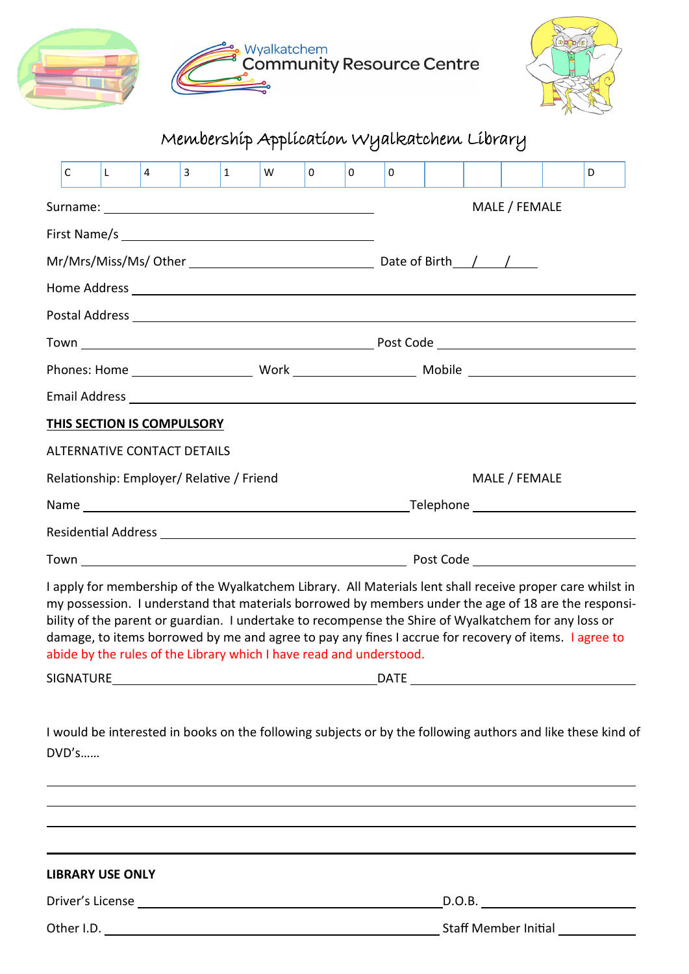



## Membership Application Wyalkatchem Library

| C                                                                                                                                                                                                                                                                                    | L | $\overline{4}$ | $\mathbf{3}$ | $\mathbf{1}$ | W | $\mathbf{0}$ | 0 | 0 |  |  |               |  | D                                                                                                                                                                                                                 |
|--------------------------------------------------------------------------------------------------------------------------------------------------------------------------------------------------------------------------------------------------------------------------------------|---|----------------|--------------|--------------|---|--------------|---|---|--|--|---------------|--|-------------------------------------------------------------------------------------------------------------------------------------------------------------------------------------------------------------------|
|                                                                                                                                                                                                                                                                                      |   |                |              |              |   |              |   |   |  |  | MALE / FEMALE |  |                                                                                                                                                                                                                   |
|                                                                                                                                                                                                                                                                                      |   |                |              |              |   |              |   |   |  |  |               |  |                                                                                                                                                                                                                   |
| Mr/Mrs/Miss/Ms/ Other 2008 2014 2020 2020 2021 2021 2021 2022 2021 2022 2021 2022 2022 2021 2022 2023 2024 20                                                                                                                                                                        |   |                |              |              |   |              |   |   |  |  |               |  |                                                                                                                                                                                                                   |
|                                                                                                                                                                                                                                                                                      |   |                |              |              |   |              |   |   |  |  |               |  |                                                                                                                                                                                                                   |
|                                                                                                                                                                                                                                                                                      |   |                |              |              |   |              |   |   |  |  |               |  |                                                                                                                                                                                                                   |
|                                                                                                                                                                                                                                                                                      |   |                |              |              |   |              |   |   |  |  |               |  |                                                                                                                                                                                                                   |
|                                                                                                                                                                                                                                                                                      |   |                |              |              |   |              |   |   |  |  |               |  |                                                                                                                                                                                                                   |
|                                                                                                                                                                                                                                                                                      |   |                |              |              |   |              |   |   |  |  |               |  |                                                                                                                                                                                                                   |
| <b>THIS SECTION IS COMPULSORY</b>                                                                                                                                                                                                                                                    |   |                |              |              |   |              |   |   |  |  |               |  |                                                                                                                                                                                                                   |
| ALTERNATIVE CONTACT DETAILS                                                                                                                                                                                                                                                          |   |                |              |              |   |              |   |   |  |  |               |  |                                                                                                                                                                                                                   |
| MALE / FEMALE<br>Relationship: Employer/ Relative / Friend                                                                                                                                                                                                                           |   |                |              |              |   |              |   |   |  |  |               |  |                                                                                                                                                                                                                   |
|                                                                                                                                                                                                                                                                                      |   |                |              |              |   |              |   |   |  |  |               |  |                                                                                                                                                                                                                   |
|                                                                                                                                                                                                                                                                                      |   |                |              |              |   |              |   |   |  |  |               |  |                                                                                                                                                                                                                   |
|                                                                                                                                                                                                                                                                                      |   |                |              |              |   |              |   |   |  |  |               |  |                                                                                                                                                                                                                   |
| bility of the parent or guardian. I undertake to recompense the Shire of Wyalkatchem for any loss or<br>damage, to items borrowed by me and agree to pay any fines I accrue for recovery of items. I agree to<br>abide by the rules of the Library which I have read and understood. |   |                |              |              |   |              |   |   |  |  |               |  | I apply for membership of the Wyalkatchem Library. All Materials lent shall receive proper care whilst in<br>my possession. I understand that materials borrowed by members under the age of 18 are the responsi- |
| SIGNATURE                                                                                                                                                                                                                                                                            |   |                |              |              |   |              |   |   |  |  |               |  |                                                                                                                                                                                                                   |
| DVD's                                                                                                                                                                                                                                                                                |   |                |              |              |   |              |   |   |  |  |               |  | I would be interested in books on the following subjects or by the following authors and like these kind of                                                                                                       |
|                                                                                                                                                                                                                                                                                      |   |                |              |              |   |              |   |   |  |  |               |  |                                                                                                                                                                                                                   |

**LIBRARY USE ONLY**

Driver's License D.O.B.

Other I.D. Staff Member Initial